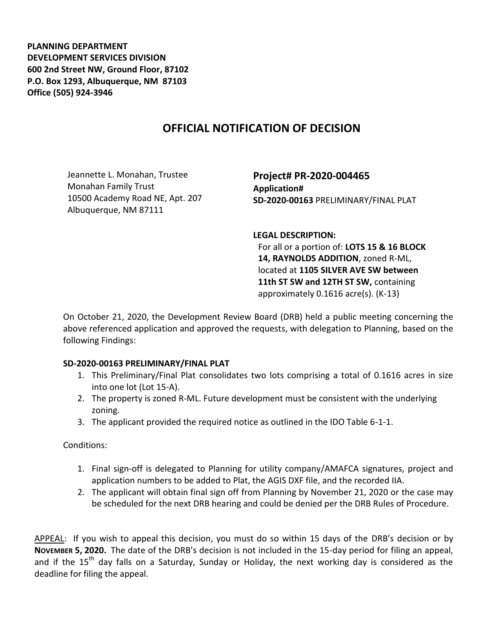**PLANNING DEPARTMENT DEVELOPMENT SERVICES DIVISION 600 2nd Street NW, Ground Floor, 87102 P.O. Box 1293, Albuquerque, NM 87103 Office (505) 924-3946** 

## **OFFICIAL NOTIFICATION OF DECISION**

Jeannette L. Monahan, Trustee Monahan Family Trust 10500 Academy Road NE, Apt. 207 Albuquerque, NM 87111

**Project# PR-2020-004465 Application# SD-2020-00163** PRELIMINARY/FINAL PLAT

**LEGAL DESCRIPTION:**

For all or a portion of: **LOTS 15 & 16 BLOCK 14, RAYNOLDS ADDITION**, zoned R-ML, located at **1105 SILVER AVE SW between 11th ST SW and 12TH ST SW,** containing approximately 0.1616 acre(s). (K-13)

On October 21, 2020, the Development Review Board (DRB) held a public meeting concerning the above referenced application and approved the requests, with delegation to Planning, based on the following Findings:

## **SD-2020-00163 PRELIMINARY/FINAL PLAT**

- 1. This Preliminary/Final Plat consolidates two lots comprising a total of 0.1616 acres in size into one lot (Lot 15-A).
- 2. The property is zoned R-ML. Future development must be consistent with the underlying zoning.
- 3. The applicant provided the required notice as outlined in the IDO Table 6-1-1.

## Conditions:

- 1. Final sign-off is delegated to Planning for utility company/AMAFCA signatures, project and application numbers to be added to Plat, the AGIS DXF file, and the recorded IIA.
- 2. The applicant will obtain final sign off from Planning by November 21, 2020 or the case may be scheduled for the next DRB hearing and could be denied per the DRB Rules of Procedure.

APPEAL: If you wish to appeal this decision, you must do so within 15 days of the DRB's decision or by **NOVEMBER 5, 2020.** The date of the DRB's decision is not included in the 15-day period for filing an appeal, and if the  $15<sup>th</sup>$  day falls on a Saturday, Sunday or Holiday, the next working day is considered as the deadline for filing the appeal.